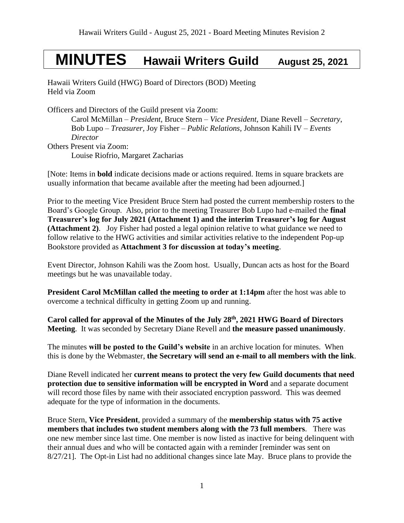# **MINUTES Hawaii Writers Guild August 25, 2021**

Hawaii Writers Guild (HWG) Board of Directors (BOD) Meeting Held via Zoom

Officers and Directors of the Guild present via Zoom:

Carol McMillan – *President*, Bruce Stern – *Vice President*, Diane Revell – *Secretary*, Bob Lupo – *Treasurer,* Joy Fisher – *Public Relations,* Johnson Kahili IV – *Events Director* Others Present via Zoom: Louise Riofrio, Margaret Zacharias

[Note: Items in **bold** indicate decisions made or actions required. Items in square brackets are usually information that became available after the meeting had been adjourned.]

Prior to the meeting Vice President Bruce Stern had posted the current membership rosters to the Board's Google Group. Also, prior to the meeting Treasurer Bob Lupo had e-mailed the **final Treasurer's log for July 2021 (Attachment 1) and the interim Treasurer's log for August (Attachment 2)**. Joy Fisher had posted a legal opinion relative to what guidance we need to follow relative to the HWG activities and similar activities relative to the independent Pop-up Bookstore provided as **Attachment 3 for discussion at today's meeting**.

Event Director, Johnson Kahili was the Zoom host. Usually, Duncan acts as host for the Board meetings but he was unavailable today.

**President Carol McMillan called the meeting to order at 1:14pm** after the host was able to overcome a technical difficulty in getting Zoom up and running.

**Carol called for approval of the Minutes of the July 28 th , 2021 HWG Board of Directors Meeting**.It was seconded by Secretary Diane Revell and **the measure passed unanimously**.

The minutes **will be posted to the Guild's website** in an archive location for minutes. When this is done by the Webmaster, **the Secretary will send an e-mail to all members with the link**.

Diane Revell indicated her **current means to protect the very few Guild documents that need protection due to sensitive information will be encrypted in Word** and a separate document will record those files by name with their associated encryption password. This was deemed adequate for the type of information in the documents.

Bruce Stern, **Vice President**, provided a summary of the **membership status with 75 active members that includes two student members along with the 73 full members**. There was one new member since last time. One member is now listed as inactive for being delinquent with their annual dues and who will be contacted again with a reminder [reminder was sent on 8/27/21]. The Opt-in List had no additional changes since late May. Bruce plans to provide the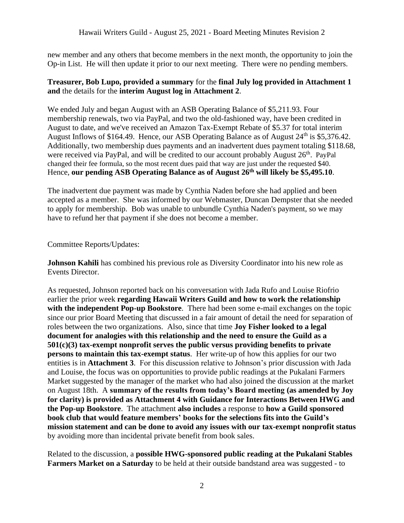new member and any others that become members in the next month, the opportunity to join the Op-in List. He will then update it prior to our next meeting. There were no pending members.

# **Treasurer, Bob Lupo, provided a summary** for the **final July log provided in Attachment 1 and** the details for the **interim August log in Attachment 2**.

We ended July and began August with an ASB Operating Balance of \$5,211.93. Four membership renewals, two via PayPal, and two the old-fashioned way, have been credited in August to date, and we've received an Amazon Tax-Exempt Rebate of \$5.37 for total interim August Inflows of \$164.49. Hence, our ASB Operating Balance as of August 24<sup>th</sup> is \$5,376.42. Additionally, two membership dues payments and an inadvertent dues payment totaling \$118.68, were received via PayPal, and will be credited to our account probably August 26<sup>th</sup>. PayPal changed their fee formula, so the most recent dues paid that way are just under the requested \$40. Hence, **our pending ASB Operating Balance as of August 26th will likely be \$5,495.10**.

The inadvertent due payment was made by Cynthia Naden before she had applied and been accepted as a member. She was informed by our Webmaster, Duncan Dempster that she needed to apply for membership. Bob was unable to unbundle Cynthia Naden's payment, so we may have to refund her that payment if she does not become a member.

# Committee Reports/Updates:

**Johnson Kahili** has combined his previous role as Diversity Coordinator into his new role as Events Director.

As requested, Johnson reported back on his conversation with Jada Rufo and Louise Riofrio earlier the prior week **regarding Hawaii Writers Guild and how to work the relationship with the independent Pop-up Bookstore**. There had been some e-mail exchanges on the topic since our prior Board Meeting that discussed in a fair amount of detail the need for separation of roles between the two organizations. Also, since that time **Joy Fisher looked to a legal document for analogies with this relationship and the need to ensure the Guild as a 501(c)(3) tax-exempt nonprofit serves the public versus providing benefits to private persons to maintain this tax-exempt status**. Her write-up of how this applies for our two entities is in **Attachment 3**. For this discussion relative to Johnson's prior discussion with Jada and Louise, the focus was on opportunities to provide public readings at the Pukalani Farmers Market suggested by the manager of the market who had also joined the discussion at the market on August 18th. A **summary of the results from today's Board meeting (as amended by Joy for clarity) is provided as Attachment 4 with Guidance for Interactions Between HWG and the Pop-up Bookstore**. The attachment **also includes** a response to **how a Guild sponsored book club that would feature members' books for the selections fits into the Guild's mission statement and can be done to avoid any issues with our tax-exempt nonprofit status** by avoiding more than incidental private benefit from book sales.

Related to the discussion, a **possible HWG-sponsored public reading at the Pukalani Stables Farmers Market on a Saturday** to be held at their outside bandstand area was suggested - to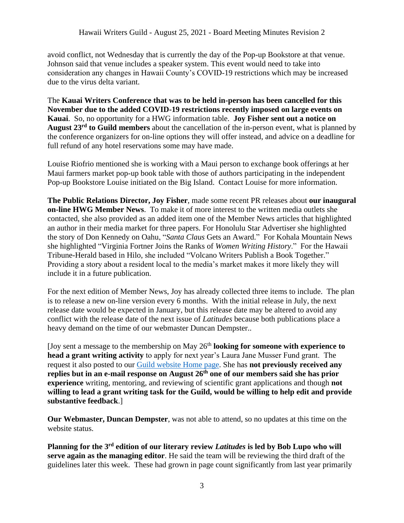avoid conflict, not Wednesday that is currently the day of the Pop-up Bookstore at that venue. Johnson said that venue includes a speaker system. This event would need to take into consideration any changes in Hawaii County's COVID-19 restrictions which may be increased due to the virus delta variant.

The **Kauai Writers Conference that was to be held in-person has been cancelled for this November due to the added COVID-19 restrictions recently imposed on large events on Kauai**. So, no opportunity for a HWG information table. **Joy Fisher sent out a notice on August 23rd to Guild members** about the cancellation of the in-person event, what is planned by the conference organizers for on-line options they will offer instead, and advice on a deadline for full refund of any hotel reservations some may have made.

Louise Riofrio mentioned she is working with a Maui person to exchange book offerings at her Maui farmers market pop-up book table with those of authors participating in the independent Pop-up Bookstore Louise initiated on the Big Island. Contact Louise for more information.

**The Public Relations Director, Joy Fisher**, made some recent PR releases about **our inaugural on-line HWG Member News**. To make it of more interest to the written media outlets she contacted, she also provided as an added item one of the Member News articles that highlighted an author in their media market for three papers. For Honolulu Star Advertiser she highlighted the story of Don Kennedy on Oahu, "*Santa Claus* Gets an Award." For Kohala Mountain News she highlighted "Virginia Fortner Joins the Ranks of *Women Writing History*." For the Hawaii Tribune-Herald based in Hilo, she included "Volcano Writers Publish a Book Together." Providing a story about a resident local to the media's market makes it more likely they will include it in a future publication.

For the next edition of Member News, Joy has already collected three items to include. The plan is to release a new on-line version every 6 months. With the initial release in July, the next release date would be expected in January, but this release date may be altered to avoid any conflict with the release date of the next issue of *Latitudes* because both publications place a heavy demand on the time of our webmaster Duncan Dempster..

[Joy sent a message to the membership on May 26th **looking for someone with experience to head a grant writing activity** to apply for next year's Laura Jane Musser Fund grant. The request it also posted to our [Guild website Home page.](https://www.hawaiiwritersguild.com/) She has **not previously received any replies but in an e-mail response on August 26th one of our members said she has prior experience** writing, mentoring, and reviewing of scientific grant applications and though **not willing to lead a grant writing task for the Guild, would be willing to help edit and provide substantive feedback**.]

**Our Webmaster, Duncan Dempster**, was not able to attend, so no updates at this time on the website status.

**Planning for the 3rd edition of our literary review** *Latitudes* **is led by Bob Lupo who will serve again as the managing editor**. He said the team will be reviewing the third draft of the guidelines later this week. These had grown in page count significantly from last year primarily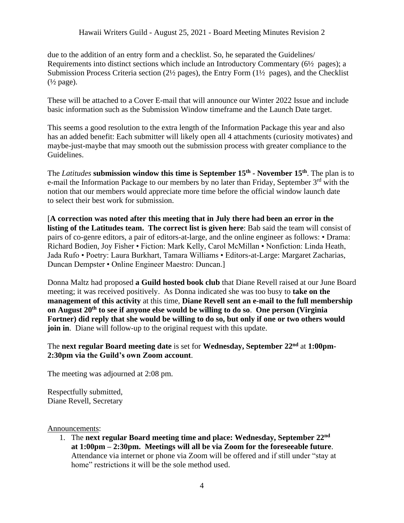due to the addition of an entry form and a checklist. So, he separated the Guidelines/ Requirements into distinct sections which include an Introductory Commentary (6½ pages); a Submission Process Criteria section (2½ pages), the Entry Form (1½ pages), and the Checklist  $(\frac{1}{2} \text{ page})$ .

These will be attached to a Cover E-mail that will announce our Winter 2022 Issue and include basic information such as the Submission Window timeframe and the Launch Date target.

This seems a good resolution to the extra length of the Information Package this year and also has an added benefit: Each submitter will likely open all 4 attachments (curiosity motivates) and maybe-just-maybe that may smooth out the submission process with greater compliance to the Guidelines.

The *Latitudes* **submission window this time is September 15th - November 15th** . The plan is to e-mail the Information Package to our members by no later than Friday, September  $3<sup>rd</sup>$  with the notion that our members would appreciate more time before the official window launch date to select their best work for submission.

[**A correction was noted after this meeting that in July there had been an error in the listing of the Latitudes team. The correct list is given here**: Bab said the team will consist of pairs of co-genre editors, a pair of editors-at-large, and the online engineer as follows: • Drama: Richard Bodien, Joy Fisher • Fiction: Mark Kelly, Carol McMillan • Nonfiction: Linda Heath, Jada Rufo • Poetry: Laura Burkhart, Tamara Williams • Editors-at-Large: Margaret Zacharias, Duncan Dempster • Online Engineer Maestro: Duncan.]

Donna Maltz had proposed **a Guild hosted book club** that Diane Revell raised at our June Board meeting; it was received positively. As Donna indicated she was too busy to **take on the management of this activity** at this time, **Diane Revell sent an e-mail to the full membership on August 20th to see if anyone else would be willing to do so**. **One person (Virginia Fortner) did reply that she would be willing to do so, but only if one or two others would join in**. Diane will follow-up to the original request with this update.

The **next regular Board meeting date** is set for **Wednesday, September 22 nd** at **1:00pm-2:30pm via the Guild's own Zoom account**.

The meeting was adjourned at 2:08 pm.

Respectfully submitted, Diane Revell, Secretary

#### Announcements:

1. The **next regular Board meeting time and place: Wednesday, September 22 nd at 1:00pm – 2:30pm. Meetings will all be via Zoom for the foreseeable future**. Attendance via internet or phone via Zoom will be offered and if still under "stay at home" restrictions it will be the sole method used.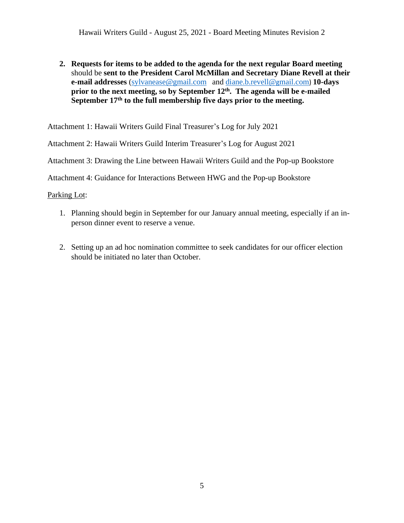**2. Requests for items to be added to the agenda for the next regular Board meeting** should be **sent to the President Carol McMillan and Secretary Diane Revell at their e-mail addresses** [\(sylvanease@gmail.com](mailto:sylvanease@gmail.com) and [diane.b.revell@](mailto:diane.b.revell@gmail.com)gmail.com) **10-days prior to the next meeting, so by September 12 th . The agenda will be e-mailed September 17th to the full membership five days prior to the meeting.** 

Attachment 1: Hawaii Writers Guild Final Treasurer's Log for July 2021

Attachment 2: Hawaii Writers Guild Interim Treasurer's Log for August 2021

Attachment 3: Drawing the Line between Hawaii Writers Guild and the Pop-up Bookstore

Attachment 4: Guidance for Interactions Between HWG and the Pop-up Bookstore

Parking Lot:

- 1. Planning should begin in September for our January annual meeting, especially if an inperson dinner event to reserve a venue.
- 2. Setting up an ad hoc nomination committee to seek candidates for our officer election should be initiated no later than October.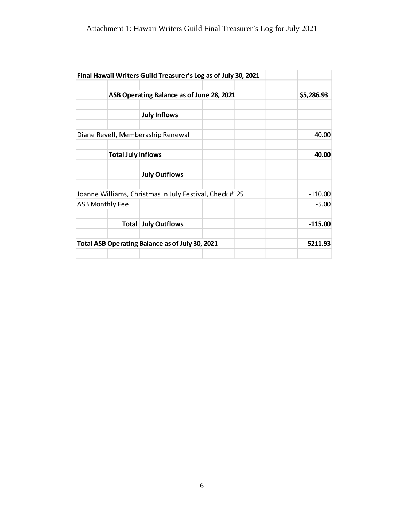| Final Hawaii Writers Guild Treasurer's Log as of July 30, 2021 |                                           |            |
|----------------------------------------------------------------|-------------------------------------------|------------|
|                                                                | ASB Operating Balance as of June 28, 2021 | \$5,286.93 |
|                                                                | <b>July Inflows</b>                       |            |
| Diane Revell, Memberaship Renewal                              |                                           | 40.00      |
| <b>Total July Inflows</b>                                      |                                           | 40.00      |
|                                                                | <b>July Outflows</b>                      |            |
| Joanne Williams, Christmas In July Festival, Check #125        |                                           | $-110.00$  |
| <b>ASB Monthly Fee</b>                                         |                                           | $-5.00$    |
|                                                                | <b>Total July Outflows</b>                | $-115.00$  |
| Total ASB Operating Balance as of July 30, 2021                |                                           | 5211.93    |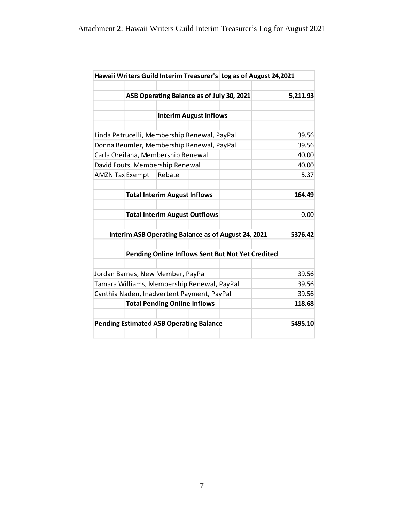|                                                     |  |                                      |                                           | Hawaii Writers Guild Interim Treasurer's Log as of August 24,2021 |  |          |
|-----------------------------------------------------|--|--------------------------------------|-------------------------------------------|-------------------------------------------------------------------|--|----------|
|                                                     |  |                                      |                                           |                                                                   |  |          |
|                                                     |  |                                      | ASB Operating Balance as of July 30, 2021 |                                                                   |  | 5,211.93 |
|                                                     |  |                                      |                                           |                                                                   |  |          |
|                                                     |  |                                      | <b>Interim August Inflows</b>             |                                                                   |  |          |
|                                                     |  |                                      |                                           |                                                                   |  |          |
| Linda Petrucelli, Membership Renewal, PayPal        |  |                                      |                                           | 39.56                                                             |  |          |
| Donna Beumler, Membership Renewal, PayPal           |  |                                      |                                           | 39.56                                                             |  |          |
|                                                     |  | Carla Oreilana, Membership Renewal   |                                           |                                                                   |  | 40.00    |
|                                                     |  | David Fouts, Membership Renewal      |                                           |                                                                   |  | 40.00    |
| <b>AMZN Tax Exempt</b>                              |  | Rebate                               |                                           |                                                                   |  | 5.37     |
|                                                     |  |                                      |                                           |                                                                   |  |          |
|                                                     |  | <b>Total Interim August Inflows</b>  |                                           |                                                                   |  | 164.49   |
|                                                     |  |                                      |                                           |                                                                   |  |          |
|                                                     |  | <b>Total Interim August Outflows</b> |                                           |                                                                   |  | 0.00     |
|                                                     |  |                                      |                                           |                                                                   |  |          |
| Interim ASB Operating Balance as of August 24, 2021 |  |                                      |                                           | 5376.42                                                           |  |          |
|                                                     |  |                                      |                                           |                                                                   |  |          |
| Pending Online Inflows Sent But Not Yet Credited    |  |                                      |                                           |                                                                   |  |          |
|                                                     |  |                                      |                                           |                                                                   |  |          |
| Jordan Barnes, New Member, PayPal                   |  |                                      |                                           | 39.56                                                             |  |          |
| Tamara Williams, Membership Renewal, PayPal         |  |                                      |                                           | 39.56                                                             |  |          |
| Cynthia Naden, Inadvertent Payment, PayPal          |  |                                      |                                           | 39.56                                                             |  |          |
|                                                     |  | <b>Total Pending Online Inflows</b>  |                                           |                                                                   |  | 118.68   |
|                                                     |  |                                      |                                           |                                                                   |  |          |
| <b>Pending Estimated ASB Operating Balance</b>      |  |                                      | 5495.10                                   |                                                                   |  |          |
|                                                     |  |                                      |                                           |                                                                   |  |          |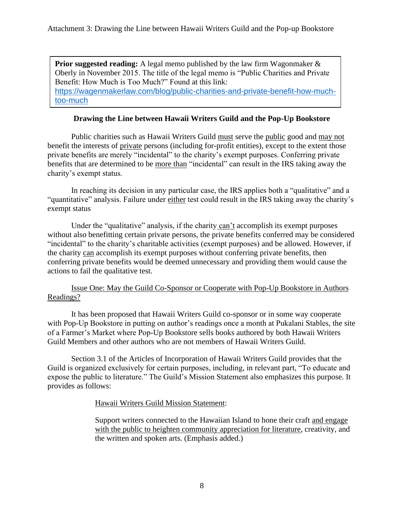**Prior suggested reading:** A legal memo published by the law firm Wagonmaker  $\&$ Oberly in November 2015. The title of the legal memo is "Public Charities and Private Benefit: How Much is Too Much?" Found at this link: [https://wagenmakerlaw.com/blog/public-charities-and-private-benefit-how-much](https://wagenmakerlaw.com/blog/public-charities-and-private-benefit-how-much-too-much)[too-much](https://wagenmakerlaw.com/blog/public-charities-and-private-benefit-how-much-too-much)

# **Drawing the Line between Hawaii Writers Guild and the Pop-Up Bookstore**

Public charities such as Hawaii Writers Guild must serve the public good and may not benefit the interests of private persons (including for-profit entities), except to the extent those private benefits are merely "incidental" to the charity's exempt purposes. Conferring private benefits that are determined to be more than "incidental" can result in the IRS taking away the charity's exempt status.

In reaching its decision in any particular case, the IRS applies both a "qualitative" and a "quantitative" analysis. Failure under either test could result in the IRS taking away the charity's exempt status

Under the "qualitative" analysis, if the charity can't accomplish its exempt purposes without also benefitting certain private persons, the private benefits conferred may be considered "incidental" to the charity's charitable activities (exempt purposes) and be allowed. However, if the charity can accomplish its exempt purposes without conferring private benefits, then conferring private benefits would be deemed unnecessary and providing them would cause the actions to fail the qualitative test.

# Issue One: May the Guild Co-Sponsor or Cooperate with Pop-Up Bookstore in Authors Readings?

It has been proposed that Hawaii Writers Guild co-sponsor or in some way cooperate with Pop-Up Bookstore in putting on author's readings once a month at Pukalani Stables, the site of a Farmer's Market where Pop-Up Bookstore sells books authored by both Hawaii Writers Guild Members and other authors who are not members of Hawaii Writers Guild.

Section 3.1 of the Articles of Incorporation of Hawaii Writers Guild provides that the Guild is organized exclusively for certain purposes, including, in relevant part, "To educate and expose the public to literature." The Guild's Mission Statement also emphasizes this purpose. It provides as follows:

#### Hawaii Writers Guild Mission Statement:

Support writers connected to the Hawaiian Island to hone their craft and engage with the public to heighten community appreciation for literature, creativity, and the written and spoken arts. (Emphasis added.)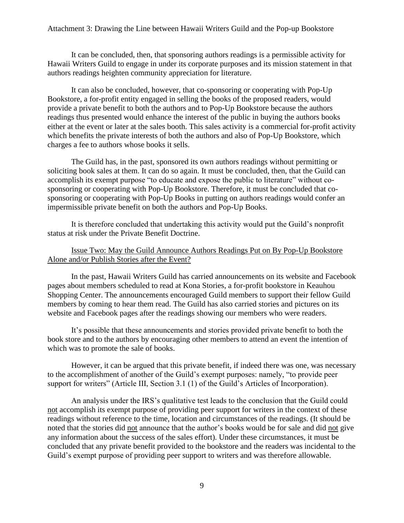#### Attachment 3: Drawing the Line between Hawaii Writers Guild and the Pop-up Bookstore

It can be concluded, then, that sponsoring authors readings is a permissible activity for Hawaii Writers Guild to engage in under its corporate purposes and its mission statement in that authors readings heighten community appreciation for literature.

It can also be concluded, however, that co-sponsoring or cooperating with Pop-Up Bookstore, a for-profit entity engaged in selling the books of the proposed readers, would provide a private benefit to both the authors and to Pop-Up Bookstore because the authors readings thus presented would enhance the interest of the public in buying the authors books either at the event or later at the sales booth. This sales activity is a commercial for-profit activity which benefits the private interests of both the authors and also of Pop-Up Bookstore, which charges a fee to authors whose books it sells.

The Guild has, in the past, sponsored its own authors readings without permitting or soliciting book sales at them. It can do so again. It must be concluded, then, that the Guild can accomplish its exempt purpose "to educate and expose the public to literature" without cosponsoring or cooperating with Pop-Up Bookstore. Therefore, it must be concluded that cosponsoring or cooperating with Pop-Up Books in putting on authors readings would confer an impermissible private benefit on both the authors and Pop-Up Books.

It is therefore concluded that undertaking this activity would put the Guild's nonprofit status at risk under the Private Benefit Doctrine.

#### Issue Two: May the Guild Announce Authors Readings Put on By Pop-Up Bookstore Alone and/or Publish Stories after the Event?

In the past, Hawaii Writers Guild has carried announcements on its website and Facebook pages about members scheduled to read at Kona Stories, a for-profit bookstore in Keauhou Shopping Center. The announcements encouraged Guild members to support their fellow Guild members by coming to hear them read. The Guild has also carried stories and pictures on its website and Facebook pages after the readings showing our members who were readers.

It's possible that these announcements and stories provided private benefit to both the book store and to the authors by encouraging other members to attend an event the intention of which was to promote the sale of books.

However, it can be argued that this private benefit, if indeed there was one, was necessary to the accomplishment of another of the Guild's exempt purposes: namely, "to provide peer support for writers" (Article III, Section 3.1 (1) of the Guild's Articles of Incorporation).

An analysis under the IRS's qualitative test leads to the conclusion that the Guild could not accomplish its exempt purpose of providing peer support for writers in the context of these readings without reference to the time, location and circumstances of the readings. (It should be noted that the stories did not announce that the author's books would be for sale and did not give any information about the success of the sales effort). Under these circumstances, it must be concluded that any private benefit provided to the bookstore and the readers was incidental to the Guild's exempt purpose of providing peer support to writers and was therefore allowable.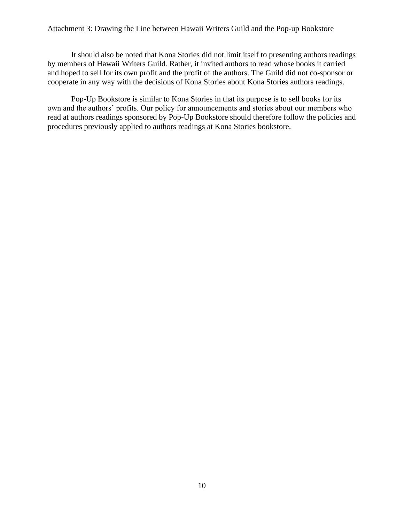#### Attachment 3: Drawing the Line between Hawaii Writers Guild and the Pop-up Bookstore

It should also be noted that Kona Stories did not limit itself to presenting authors readings by members of Hawaii Writers Guild. Rather, it invited authors to read whose books it carried and hoped to sell for its own profit and the profit of the authors. The Guild did not co-sponsor or cooperate in any way with the decisions of Kona Stories about Kona Stories authors readings.

Pop-Up Bookstore is similar to Kona Stories in that its purpose is to sell books for its own and the authors' profits. Our policy for announcements and stories about our members who read at authors readings sponsored by Pop-Up Bookstore should therefore follow the policies and procedures previously applied to authors readings at Kona Stories bookstore.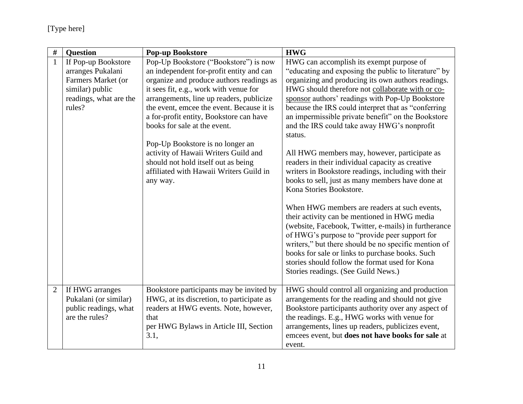| $\#$           | <b>Question</b>                                                                     | <b>Pop-up Bookstore</b>                                                                                                                                                                  | <b>HWG</b>                                                                                                                                                                                                                                                                                                                                                                                                |
|----------------|-------------------------------------------------------------------------------------|------------------------------------------------------------------------------------------------------------------------------------------------------------------------------------------|-----------------------------------------------------------------------------------------------------------------------------------------------------------------------------------------------------------------------------------------------------------------------------------------------------------------------------------------------------------------------------------------------------------|
| $\mathbf{1}$   | If Pop-up Bookstore                                                                 | Pop-Up Bookstore ("Bookstore") is now                                                                                                                                                    | HWG can accomplish its exempt purpose of                                                                                                                                                                                                                                                                                                                                                                  |
|                | arranges Pukalani                                                                   | an independent for-profit entity and can                                                                                                                                                 | "educating and exposing the public to literature" by                                                                                                                                                                                                                                                                                                                                                      |
|                | Farmers Market (or                                                                  | organize and produce authors readings as                                                                                                                                                 | organizing and producing its own authors readings.                                                                                                                                                                                                                                                                                                                                                        |
|                | similar) public                                                                     | it sees fit, e.g., work with venue for                                                                                                                                                   | HWG should therefore not collaborate with or co-                                                                                                                                                                                                                                                                                                                                                          |
|                | readings, what are the                                                              | arrangements, line up readers, publicize                                                                                                                                                 | sponsor authors' readings with Pop-Up Bookstore                                                                                                                                                                                                                                                                                                                                                           |
|                | rules?                                                                              | the event, emcee the event. Because it is                                                                                                                                                | because the IRS could interpret that as "conferring                                                                                                                                                                                                                                                                                                                                                       |
|                |                                                                                     | a for-profit entity, Bookstore can have                                                                                                                                                  | an impermissible private benefit" on the Bookstore                                                                                                                                                                                                                                                                                                                                                        |
|                |                                                                                     | books for sale at the event.                                                                                                                                                             | and the IRS could take away HWG's nonprofit                                                                                                                                                                                                                                                                                                                                                               |
|                |                                                                                     |                                                                                                                                                                                          | status.                                                                                                                                                                                                                                                                                                                                                                                                   |
|                |                                                                                     | Pop-Up Bookstore is no longer an                                                                                                                                                         |                                                                                                                                                                                                                                                                                                                                                                                                           |
|                |                                                                                     | activity of Hawaii Writers Guild and                                                                                                                                                     | All HWG members may, however, participate as                                                                                                                                                                                                                                                                                                                                                              |
|                |                                                                                     | should not hold itself out as being                                                                                                                                                      | readers in their individual capacity as creative                                                                                                                                                                                                                                                                                                                                                          |
|                |                                                                                     | affiliated with Hawaii Writers Guild in                                                                                                                                                  | writers in Bookstore readings, including with their                                                                                                                                                                                                                                                                                                                                                       |
|                |                                                                                     | any way.                                                                                                                                                                                 | books to sell, just as many members have done at                                                                                                                                                                                                                                                                                                                                                          |
|                |                                                                                     |                                                                                                                                                                                          | Kona Stories Bookstore.                                                                                                                                                                                                                                                                                                                                                                                   |
|                |                                                                                     |                                                                                                                                                                                          | When HWG members are readers at such events,<br>their activity can be mentioned in HWG media<br>(website, Facebook, Twitter, e-mails) in furtherance<br>of HWG's purpose to "provide peer support for<br>writers," but there should be no specific mention of<br>books for sale or links to purchase books. Such<br>stories should follow the format used for Kona<br>Stories readings. (See Guild News.) |
| $\overline{2}$ | If HWG arranges<br>Pukalani (or similar)<br>public readings, what<br>are the rules? | Bookstore participants may be invited by<br>HWG, at its discretion, to participate as<br>readers at HWG events. Note, however,<br>that<br>per HWG Bylaws in Article III, Section<br>3.1, | HWG should control all organizing and production<br>arrangements for the reading and should not give<br>Bookstore participants authority over any aspect of<br>the readings. E.g., HWG works with venue for<br>arrangements, lines up readers, publicizes event,<br>emcees event, but does not have books for sale at<br>event.                                                                           |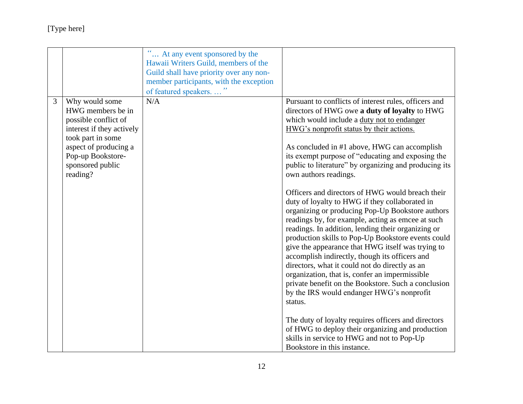# [Type here]

|   |                                                                                                                                                                                             | $\epsilon \epsilon$<br>At any event sponsored by the<br>Hawaii Writers Guild, members of the<br>Guild shall have priority over any non-<br>member participants, with the exception<br>of featured speakers |                                                                                                                                                                                                                                                                                                                                                                                                                                                                                                                                                                                                                                                                                                                                                                                                                                                                                                                                                                                                                                                                                                                                                                                                                                      |
|---|---------------------------------------------------------------------------------------------------------------------------------------------------------------------------------------------|------------------------------------------------------------------------------------------------------------------------------------------------------------------------------------------------------------|--------------------------------------------------------------------------------------------------------------------------------------------------------------------------------------------------------------------------------------------------------------------------------------------------------------------------------------------------------------------------------------------------------------------------------------------------------------------------------------------------------------------------------------------------------------------------------------------------------------------------------------------------------------------------------------------------------------------------------------------------------------------------------------------------------------------------------------------------------------------------------------------------------------------------------------------------------------------------------------------------------------------------------------------------------------------------------------------------------------------------------------------------------------------------------------------------------------------------------------|
| 3 | Why would some<br>HWG members be in<br>possible conflict of<br>interest if they actively<br>took part in some<br>aspect of producing a<br>Pop-up Bookstore-<br>sponsored public<br>reading? | N/A                                                                                                                                                                                                        | Pursuant to conflicts of interest rules, officers and<br>directors of HWG owe a duty of loyalty to HWG<br>which would include a duty not to endanger<br>HWG's nonprofit status by their actions.<br>As concluded in #1 above, HWG can accomplish<br>its exempt purpose of "educating and exposing the<br>public to literature" by organizing and producing its<br>own authors readings.<br>Officers and directors of HWG would breach their<br>duty of loyalty to HWG if they collaborated in<br>organizing or producing Pop-Up Bookstore authors<br>readings by, for example, acting as emcee at such<br>readings. In addition, lending their organizing or<br>production skills to Pop-Up Bookstore events could<br>give the appearance that HWG itself was trying to<br>accomplish indirectly, though its officers and<br>directors, what it could not do directly as an<br>organization, that is, confer an impermissible<br>private benefit on the Bookstore. Such a conclusion<br>by the IRS would endanger HWG's nonprofit<br>status.<br>The duty of loyalty requires officers and directors<br>of HWG to deploy their organizing and production<br>skills in service to HWG and not to Pop-Up<br>Bookstore in this instance. |